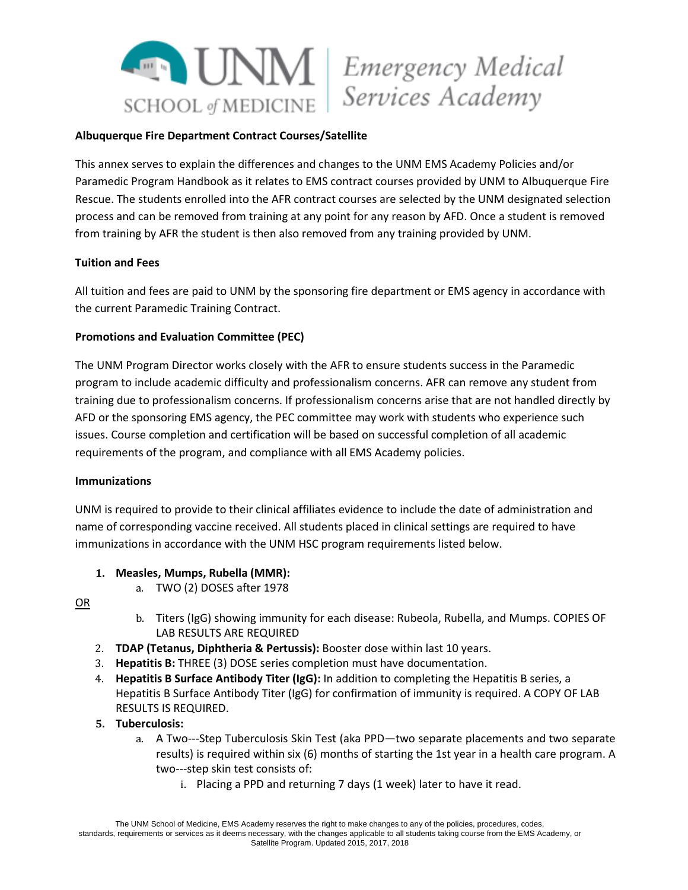

#### **Albuquerque Fire Department Contract Courses/Satellite**

This annex serves to explain the differences and changes to the UNM EMS Academy Policies and/or Paramedic Program Handbook as it relates to EMS contract courses provided by UNM to Albuquerque Fire Rescue. The students enrolled into the AFR contract courses are selected by the UNM designated selection process and can be removed from training at any point for any reason by AFD. Once a student is removed from training by AFR the student is then also removed from any training provided by UNM.

#### **Tuition and Fees**

All tuition and fees are paid to UNM by the sponsoring fire department or EMS agency in accordance with the current Paramedic Training Contract.

### **Promotions and Evaluation Committee (PEC)**

The UNM Program Director works closely with the AFR to ensure students success in the Paramedic program to include academic difficulty and professionalism concerns. AFR can remove any student from training due to professionalism concerns. If professionalism concerns arise that are not handled directly by AFD or the sponsoring EMS agency, the PEC committee may work with students who experience such issues. Course completion and certification will be based on successful completion of all academic requirements of the program, and compliance with all EMS Academy policies.

#### **Immunizations**

UNM is required to provide to their clinical affiliates evidence to include the date of administration and name of corresponding vaccine received. All students placed in clinical settings are required to have immunizations in accordance with the UNM HSC program requirements listed below.

- **1. Measles, Mumps, Rubella (MMR):**
	- a. TWO (2) DOSES after 1978

OR

- b. Titers (IgG) showing immunity for each disease: Rubeola, Rubella, and Mumps. COPIES OF LAB RESULTS ARE REQUIRED
- 2. **TDAP (Tetanus, Diphtheria & Pertussis):** Booster dose within last 10 years.
- 3. **Hepatitis B:** THREE (3) DOSE series completion must have documentation.
- 4. **Hepatitis B Surface Antibody Titer (IgG):** In addition to completing the Hepatitis B series, a Hepatitis B Surface Antibody Titer (IgG) for confirmation of immunity is required. A COPY OF LAB RESULTS IS REQUIRED.

### **5. Tuberculosis:**

- a. A Two---Step Tuberculosis Skin Test (aka PPD—two separate placements and two separate results) is required within six (6) months of starting the 1st year in a health care program. A two---step skin test consists of:
	- i. Placing a PPD and returning 7 days (1 week) later to have it read.